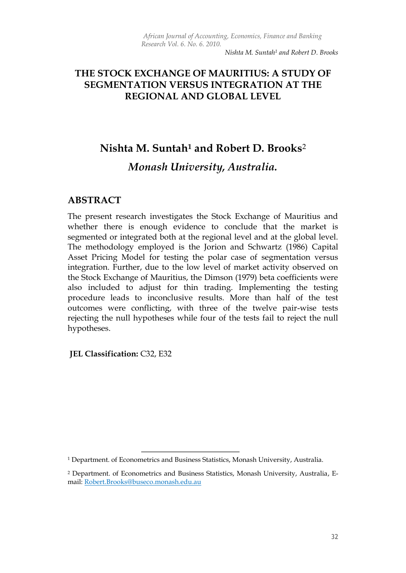*Nishta M. Suntah<sup>1</sup> and Robert D. Brooks*

#### **THE STOCK EXCHANGE OF MAURITIUS: A STUDY OF SEGMENTATION VERSUS INTEGRATION AT THE REGIONAL AND GLOBAL LEVEL**

# **Nishta M. Suntah<sup>1</sup> and Robert D. Brooks**<sup>2</sup>

## *Monash University, Australia.*

#### **ABSTRACT**

The present research investigates the Stock Exchange of Mauritius and whether there is enough evidence to conclude that the market is segmented or integrated both at the regional level and at the global level. The methodology employed is the Jorion and Schwartz (1986) Capital Asset Pricing Model for testing the polar case of segmentation versus integration. Further, due to the low level of market activity observed on the Stock Exchange of Mauritius, the Dimson (1979) beta coefficients were also included to adjust for thin trading. Implementing the testing procedure leads to inconclusive results. More than half of the test outcomes were conflicting, with three of the twelve pair-wise tests rejecting the null hypotheses while four of the tests fail to reject the null hypotheses.

**JEL Classification:** C32, E32

-

<sup>1</sup> Department. of Econometrics and Business Statistics, Monash University, Australia.

<sup>2</sup> Department. of Econometrics and Business Statistics, Monash University, Australia, Email: [Robert.Brooks@buseco.monash.edu.au](mailto:Robert.Brooks@buseco.monash.edu.au)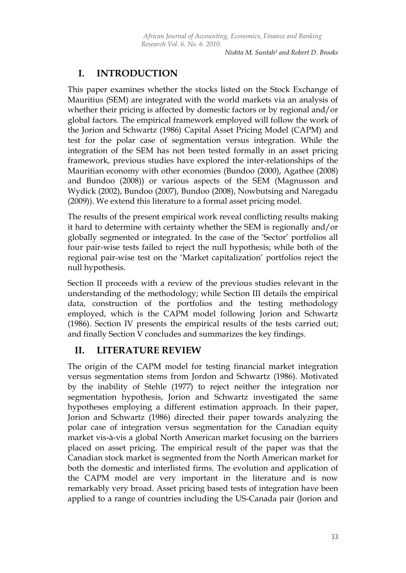*Nishta M. Suntah<sup>1</sup> and Robert D. Brooks*

## **I. INTRODUCTION**

This paper examines whether the stocks listed on the Stock Exchange of Mauritius (SEM) are integrated with the world markets via an analysis of whether their pricing is affected by domestic factors or by regional and/or global factors. The empirical framework employed will follow the work of the Jorion and Schwartz (1986) Capital Asset Pricing Model (CAPM) and test for the polar case of segmentation versus integration. While the integration of the SEM has not been tested formally in an asset pricing framework, previous studies have explored the inter-relationships of the Mauritian economy with other economies (Bundoo (2000), Agathee (2008) and Bundoo (2008)) or various aspects of the SEM (Magnusson and Wydick (2002), Bundoo (2007), Bundoo (2008), Nowbutsing and Naregadu (2009)). We extend this literature to a formal asset pricing model.

The results of the present empirical work reveal conflicting results making it hard to determine with certainty whether the SEM is regionally and/or globally segmented or integrated. In the case of the "Sector" portfolios all four pair-wise tests failed to reject the null hypothesis; while both of the regional pair-wise test on the "Market capitalization" portfolios reject the null hypothesis.

Section II proceeds with a review of the previous studies relevant in the understanding of the methodology; while Section III details the empirical data, construction of the portfolios and the testing methodology employed, which is the CAPM model following Jorion and Schwartz (1986). Section IV presents the empirical results of the tests carried out; and finally Section V concludes and summarizes the key findings.

## **II. LITERATURE REVIEW**

The origin of the CAPM model for testing financial market integration versus segmentation stems from Jordon and Schwartz (1986). Motivated by the inability of Stehle (1977) to reject neither the integration nor segmentation hypothesis, Jorion and Schwartz investigated the same hypotheses employing a different estimation approach. In their paper, Jorion and Schwartz (1986) directed their paper towards analyzing the polar case of integration versus segmentation for the Canadian equity market vis-à-vis a global North American market focusing on the barriers placed on asset pricing. The empirical result of the paper was that the Canadian stock market is segmented from the North American market for both the domestic and interlisted firms. The evolution and application of the CAPM model are very important in the literature and is now remarkably very broad. Asset pricing based tests of integration have been applied to a range of countries including the US-Canada pair (Jorion and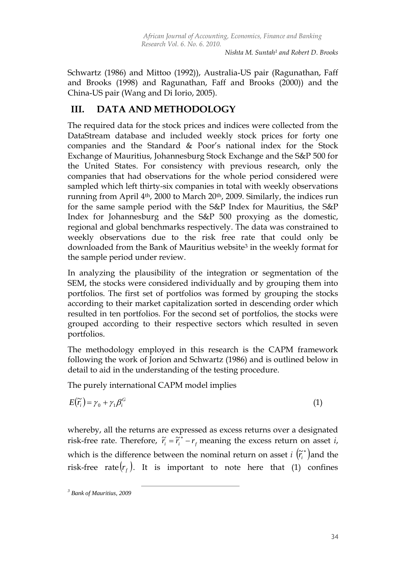*Nishta M. Suntah<sup>1</sup> and Robert D. Brooks*

Schwartz (1986) and Mittoo (1992)), Australia-US pair (Ragunathan, Faff and Brooks (1998) and Ragunathan, Faff and Brooks (2000)) and the China-US pair (Wang and Di Iorio, 2005).

#### **III. DATA AND METHODOLOGY**

The required data for the stock prices and indices were collected from the DataStream database and included weekly stock prices for forty one companies and the Standard & Poor"s national index for the Stock Exchange of Mauritius, Johannesburg Stock Exchange and the S&P 500 for the United States. For consistency with previous research, only the companies that had observations for the whole period considered were sampled which left thirty-six companies in total with weekly observations running from April  $4<sup>th</sup>$ , 2000 to March 20<sup>th</sup>, 2009. Similarly, the indices run for the same sample period with the S&P Index for Mauritius, the S&P Index for Johannesburg and the S&P 500 proxying as the domestic, regional and global benchmarks respectively. The data was constrained to weekly observations due to the risk free rate that could only be downloaded from the Bank of Mauritius website<sup>3</sup> in the weekly format for the sample period under review.

In analyzing the plausibility of the integration or segmentation of the SEM, the stocks were considered individually and by grouping them into portfolios. The first set of portfolios was formed by grouping the stocks according to their market capitalization sorted in descending order which resulted in ten portfolios. For the second set of portfolios, the stocks were grouped according to their respective sectors which resulted in seven portfolios.

The methodology employed in this research is the CAPM framework following the work of Jorion and Schwartz (1986) and is outlined below in detail to aid in the understanding of the testing procedure.

The purely international CAPM model implies

 $\overline{a}$ 

$$
E(\widetilde{r}_i) = \gamma_0 + \gamma_1 \beta_i^G \tag{1}
$$

whereby, all the returns are expressed as excess returns over a designated risk-free rate. Therefore,  $\vec{r}_i = \vec{r}_i^* - r_f$  meaning the excess return on asset *i*, which is the difference between the nominal return on asset *i*  $(\tilde{r}_i^*)$  and the risk-free rate $(r_f)$ . It is important to note here that (1) confines

*<sup>3</sup> Bank of Mauritius, 2009*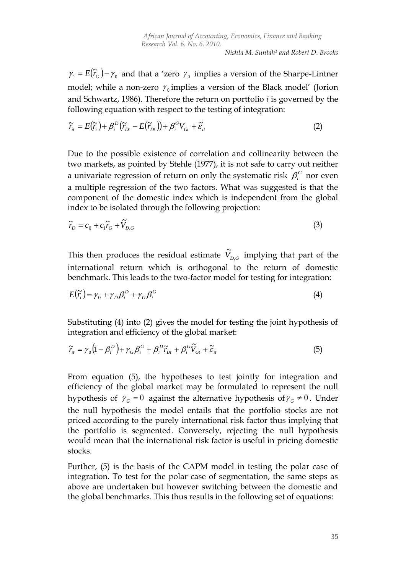$\gamma_1 = E(\tilde{r}_G) - \gamma_0$  and that a 'zero  $\gamma_0$  implies a version of the Sharpe-Lintner model; while a non-zero  $\gamma_0$  implies a version of the Black model' (Jorion and Schwartz, 1986). Therefore the return on portfolio *i* is governed by the following equation with respect to the testing of integration:

$$
\widetilde{r}_{ii} = E(\widetilde{r}_{i}) + \beta_{i}^{D} (\widetilde{r}_{Di} - E(\widetilde{r}_{Di})) + \beta_{i}^{G} V_{Gi} + \widetilde{\varepsilon}_{ii}
$$
\n(2)

Due to the possible existence of correlation and collinearity between the two markets, as pointed by Stehle (1977), it is not safe to carry out neither a univariate regression of return on only the systematic risk  $\beta_i^G$  nor even a multiple regression of the two factors. What was suggested is that the component of the domestic index which is independent from the global index to be isolated through the following projection:

$$
\widetilde{r}_D = c_0 + c_1 \widetilde{r}_G + \widetilde{V}_{D,G}
$$
\n<sup>(3)</sup>

This then produces the residual estimate  $\widetilde{V}_{D,G}$  implying that part of the international return which is orthogonal to the return of domestic benchmark. This leads to the two-factor model for testing for integration:

$$
E(\widetilde{r}_i) = \gamma_0 + \gamma_D \beta_i^D + \gamma_G \beta_i^G \tag{4}
$$

Substituting (4) into (2) gives the model for testing the joint hypothesis of integration and efficiency of the global market:

$$
\widetilde{r}_{i} = \gamma_0 \left( 1 - \beta_i^D \right) + \gamma_G \beta_i^G + \beta_i^D \widetilde{r}_{Dt} + \beta_i^G \widetilde{V}_{Gt} + \widetilde{\varepsilon}_{i t}
$$
\n
$$
\tag{5}
$$

 $_1 = E(F_0) - r_S$  and that a "zero  $r_S$  implies a version of the Sharpe-Lintnen<br>odel: while a non-zero  $r_S$  implies a version of the Sharpe-Lintnen<br>odel: while a non-zero  $r_S$  implies a version of the Sharpe-Linthen<br>od Schwar From equation (5), the hypotheses to test jointly for integration and efficiency of the global market may be formulated to represent the null hypothesis of  $\gamma_G = 0$  against the alternative hypothesis of  $\gamma_G \neq 0$ . Under the null hypothesis the model entails that the portfolio stocks are not priced according to the purely international risk factor thus implying that the portfolio is segmented. Conversely, rejecting the null hypothesis would mean that the international risk factor is useful in pricing domestic stocks.

Further, (5) is the basis of the CAPM model in testing the polar case of integration. To test for the polar case of segmentation, the same steps as above are undertaken but however switching between the domestic and the global benchmarks. This thus results in the following set of equations: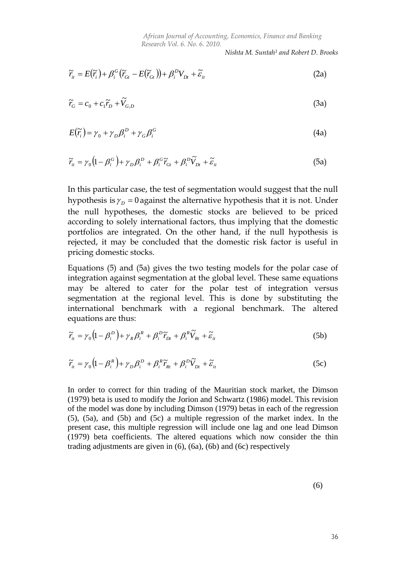*Nishta M. Suntah<sup>1</sup> and Robert D. Brooks*

$$
\widetilde{r}_{it} = E(\widetilde{r}_{i}) + \beta_{i}^{G} (\widetilde{r}_{Gt} - E(\widetilde{r}_{Gt})) + \beta_{i}^{D} V_{Dt} + \widetilde{\varepsilon}_{it}
$$
\n(2a)

$$
\widetilde{r}_G = c_0 + c_1 \widetilde{r}_D + \widetilde{V}_{G,D} \tag{3a}
$$

$$
E(\widetilde{r}_i) = \gamma_0 + \gamma_D \beta_i^D + \gamma_G \beta_i^G \tag{4a}
$$

$$
\widetilde{r}_{ii} = \gamma_0 \left( 1 - \beta_i^G \right) + \gamma_D \beta_i^D + \beta_i^G \widetilde{r}_{Gi} + \beta_i^D \widetilde{V}_{Di} + \widetilde{\varepsilon}_{ii}
$$
\n(5a)

( $\overline{z}_i$ ) +  $\beta_i^0$   $\overline{U}_{ia} = E(\overline{t}_{ia}) + \beta_i^0 V_{ia} + \overline{v}_a$  (2a)<br>  $+ c_1 \overline{r}_b + \overline{v}_{a,b}$  (3a)<br>  $+ c_1 \overline{r}_b + \overline{v}_{a,b}$  (3a)<br>  $\left(1 - \beta_i^0 + \gamma_D \beta_i^0 + \gamma_C \beta_i^0\right)$  (4a)<br>  $\left(1 - \beta_i^0 + \gamma_D \beta_i^0 + \beta_C^0 \overline{r}_b^0 + \beta_i^0 \overline{r}_b^0 + \beta_i$ In this particular case, the test of segmentation would suggest that the null hypothesis is  $\gamma_p = 0$  against the alternative hypothesis that it is not. Under the null hypotheses, the domestic stocks are believed to be priced according to solely international factors, thus implying that the domestic portfolios are integrated. On the other hand, if the null hypothesis is rejected, it may be concluded that the domestic risk factor is useful in pricing domestic stocks.

Equations (5) and (5a) gives the two testing models for the polar case of integration against segmentation at the global level. These same equations may be altered to cater for the polar test of integration versus segmentation at the regional level. This is done by substituting the international benchmark with a regional benchmark. The altered equations are thus:

$$
\widetilde{r}_{it} = \gamma_0 \left( 1 - \beta_i^D \right) + \gamma_R \beta_i^R + \beta_i^D \widetilde{r}_{Dt} + \beta_i^R \widetilde{V}_{Rt} + \widetilde{\varepsilon}_{it}
$$
\n(5b)

$$
\widetilde{r}_{it} = \gamma_0 \left( 1 - \beta_i^R \right) + \gamma_D \beta_i^D + \beta_i^R \widetilde{r}_{Rt} + \beta_i^D \widetilde{V}_{Dt} + \widetilde{\varepsilon}_{it}
$$
\n(5c)

In order to correct for thin trading of the Mauritian stock market, the Dimson (1979) beta is used to modify the Jorion and Schwartz (1986) model. This revision of the model was done by including Dimson (1979) betas in each of the regression (5), (5a), and (5b) and (5c) a multiple regression of the market index. In the present case, this multiple regression will include one lag and one lead Dimson (1979) beta coefficients. The altered equations which now consider the thin trading adjustments are given in (6), (6a), (6b) and (6c) respectively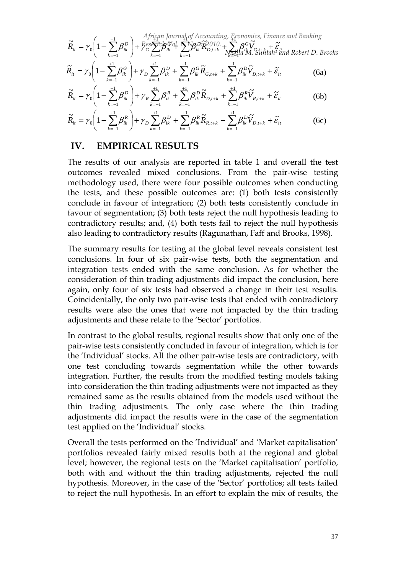$$
\widetilde{R}_{it} = \gamma_0 \left( 1 - \sum_{k=-1}^{+1} \beta_k^D \right) + \frac{African\,JvraI_1 of \,Accounting, \,E_{\text{f}} conomics, \,Finance \,and \,Banking}{\beta_k^C \sum_{k=-1}^{+1} \beta_k^C \sum_{k=-1}^{+1} \beta_k^C \widetilde{R}_{ik}^2} \widetilde{R}_{i,k}^2 + \sum_{N \geq 1}^{+1} \beta_k^C \widetilde{V}_{j,k} + \widetilde{\varepsilon}_{j,k} + \widetilde{\varepsilon}_{j,k} + \widetilde{\varepsilon}_{j,k} + \widetilde{\varepsilon}_{j,k} + \widetilde{\varepsilon}_{j,k} + \widetilde{\varepsilon}_{j,k} + \widetilde{\varepsilon}_{j,k} + \widetilde{\varepsilon}_{j,k} + \widetilde{\varepsilon}_{j,k} + \widetilde{\varepsilon}_{j,k} + \widetilde{\varepsilon}_{j,k} + \widetilde{\varepsilon}_{j,k} + \widetilde{\varepsilon}_{j,k} + \widetilde{\varepsilon}_{j,k} + \widetilde{\varepsilon}_{j,k} + \widetilde{\varepsilon}_{j,k} + \widetilde{\varepsilon}_{j,k} + \widetilde{\varepsilon}_{j,k} + \widetilde{\varepsilon}_{j,k} + \widetilde{\varepsilon}_{j,k} + \widetilde{\varepsilon}_{j,k} + \widetilde{\varepsilon}_{j,k} + \widetilde{\varepsilon}_{j,k} + \widetilde{\varepsilon}_{j,k} + \widetilde{\varepsilon}_{j,k} + \widetilde{\varepsilon}_{j,k} + \widetilde{\varepsilon}_{j,k} + \widetilde{\varepsilon}_{j,k} + \widetilde{\varepsilon}_{j,k} + \widetilde{\varepsilon}_{j,k} + \widetilde{\varepsilon}_{j,k} + \widetilde{\varepsilon}_{j,k} + \widetilde{\varepsilon}_{j,k} + \widetilde{\varepsilon}_{j,k} + \widetilde{\varepsilon}_{j,k} + \widetilde{\varepsilon}_{j,k} + \widetilde{\varepsilon}_{j,k} + \widetilde{\varepsilon}_{j,k} + \widetilde{\varepsilon}_{j,k} + \widetilde{\varepsilon}_{j,k} + \widetilde{\varepsilon}_{j,k} + \widetilde{\varepsilon}_{j,k} + \widetilde{\varepsilon}_{j,k} + \widetilde{\varepsilon}_{j,k} + \widetilde{\varepsilon}_{j,k
$$

$$
\widetilde{R}_{it} = \gamma_0 \left( 1 - \sum_{k=-1}^{+1} \beta_{ik}^G \right) + \gamma_D \sum_{k=-1}^{+1} \beta_{ik}^D + \sum_{k=-1}^{+1} \beta_{ik}^G \widetilde{R}_{G,t+k} + \sum_{k=-1}^{+1} \beta_{ik}^D \widetilde{V}_{D,t+k} + \widetilde{\varepsilon}_{it}
$$
(6a)

$$
\widetilde{R}_{it} = \gamma_0 \left( 1 - \sum_{k=1}^{+1} \beta_{ik}^D \right) + \gamma_R \sum_{k=-1}^{+1} \beta_{ik}^R + \sum_{k=-1}^{+1} \beta_{ik}^D \widetilde{R}_{D,t+k} + \sum_{k=-1}^{+1} \beta_{ik}^R \widetilde{V}_{R,t+k} + \widetilde{\varepsilon}_{it}
$$
(6b)

$$
\widetilde{R}_{it} = \gamma_0 \left( 1 - \sum_{k=1}^{+1} \beta_{ik}^R \right) + \gamma_D \sum_{k=-1}^{+1} \beta_{ik}^D + \sum_{k=-1}^{+1} \beta_{ik}^R \widetilde{R}_{R,t+k} + \sum_{k=-1}^{+1} \beta_{ik}^D \widetilde{V}_{D,t+k} + \widetilde{\varepsilon}_{it}
$$
(6c)

#### **IV. EMPIRICAL RESULTS**

The results of our analysis are reported in table 1 and overall the test outcomes revealed mixed conclusions. From the pair-wise testing methodology used, there were four possible outcomes when conducting the tests, and these possible outcomes are: (1) both tests consistently conclude in favour of integration; (2) both tests consistently conclude in favour of segmentation; (3) both tests reject the null hypothesis leading to contradictory results; and, (4) both tests fail to reject the null hypothesis also leading to contradictory results (Ragunathan, Faff and Brooks, 1998).

The summary results for testing at the global level reveals consistent test conclusions. In four of six pair-wise tests, both the segmentation and integration tests ended with the same conclusion. As for whether the consideration of thin trading adjustments did impact the conclusion, here again, only four of six tests had observed a change in their test results. Coincidentally, the only two pair-wise tests that ended with contradictory results were also the ones that were not impacted by the thin trading adjustments and these relate to the "Sector" portfolios.

In contrast to the global results, regional results show that only one of the pair-wise tests consistently concluded in favour of integration, which is for the "Individual" stocks. All the other pair-wise tests are contradictory, with one test concluding towards segmentation while the other towards integration. Further, the results from the modified testing models taking into consideration the thin trading adjustments were not impacted as they remained same as the results obtained from the models used without the thin trading adjustments. The only case where the thin trading adjustments did impact the results were in the case of the segmentation test applied on the "Individual" stocks.

Overall the tests performed on the "Individual" and "Market capitalisation" portfolios revealed fairly mixed results both at the regional and global level; however, the regional tests on the "Market capitalisation" portfolio, both with and without the thin trading adjustments, rejected the null hypothesis. Moreover, in the case of the "Sector" portfolios; all tests failed to reject the null hypothesis. In an effort to explain the mix of results, the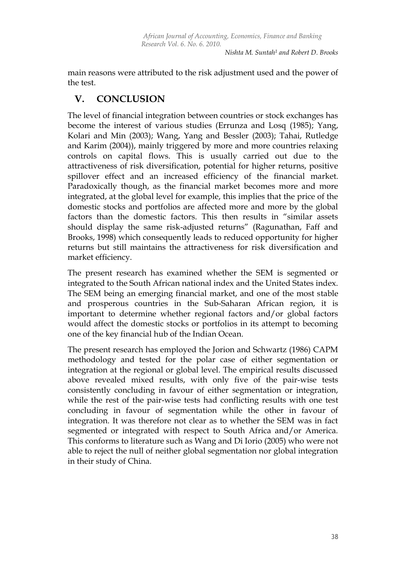*Nishta M. Suntah<sup>1</sup> and Robert D. Brooks*

main reasons were attributed to the risk adjustment used and the power of the test.

### **V. CONCLUSION**

The level of financial integration between countries or stock exchanges has become the interest of various studies (Errunza and Losq (1985); Yang, Kolari and Min (2003); Wang, Yang and Bessler (2003); Tahai, Rutledge and Karim (2004)), mainly triggered by more and more countries relaxing controls on capital flows. This is usually carried out due to the attractiveness of risk diversification, potential for higher returns, positive spillover effect and an increased efficiency of the financial market. Paradoxically though, as the financial market becomes more and more integrated, at the global level for example, this implies that the price of the domestic stocks and portfolios are affected more and more by the global factors than the domestic factors. This then results in "similar assets should display the same risk-adjusted returns" (Ragunathan, Faff and Brooks, 1998) which consequently leads to reduced opportunity for higher returns but still maintains the attractiveness for risk diversification and market efficiency.

The present research has examined whether the SEM is segmented or integrated to the South African national index and the United States index. The SEM being an emerging financial market, and one of the most stable and prosperous countries in the Sub-Saharan African region, it is important to determine whether regional factors and/or global factors would affect the domestic stocks or portfolios in its attempt to becoming one of the key financial hub of the Indian Ocean.

The present research has employed the Jorion and Schwartz (1986) CAPM methodology and tested for the polar case of either segmentation or integration at the regional or global level. The empirical results discussed above revealed mixed results, with only five of the pair-wise tests consistently concluding in favour of either segmentation or integration, while the rest of the pair-wise tests had conflicting results with one test concluding in favour of segmentation while the other in favour of integration. It was therefore not clear as to whether the SEM was in fact segmented or integrated with respect to South Africa and/or America. This conforms to literature such as Wang and Di Iorio (2005) who were not able to reject the null of neither global segmentation nor global integration in their study of China.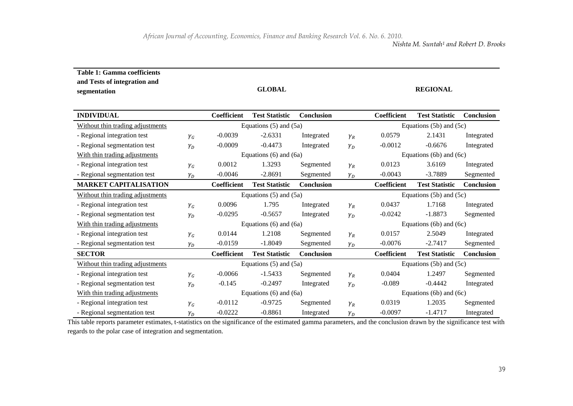| <b>Table 1: Gamma coefficients</b><br>and Tests of integration and<br>segmentation |              |                            | <b>GLOBAL</b>         |            |              |                             | <b>REGIONAL</b>       |                   |
|------------------------------------------------------------------------------------|--------------|----------------------------|-----------------------|------------|--------------|-----------------------------|-----------------------|-------------------|
| <b>INDIVIDUAL</b>                                                                  |              | Coefficient                | <b>Test Statistic</b> | Conclusion |              | Coefficient                 | <b>Test Statistic</b> | <b>Conclusion</b> |
| Without thin trading adjustments                                                   |              | Equations $(5)$ and $(5a)$ |                       |            |              | Equations $(5b)$ and $(5c)$ |                       |                   |
| - Regional integration test                                                        | $\gamma_G$   | $-0.0039$                  | $-2.6331$             | Integrated | $\gamma_R$   | 0.0579                      | 2.1431                | Integrated        |
| - Regional segmentation test                                                       | $\gamma_D$   | $-0.0009$                  | $-0.4473$             | Integrated | $\gamma_D$   | $-0.0012$                   | $-0.6676$             | Integrated        |
| With thin trading adjustments                                                      |              | Equations $(6)$ and $(6a)$ |                       |            |              | Equations $(6b)$ and $(6c)$ |                       |                   |
| - Regional integration test                                                        | $\gamma_G$   | 0.0012                     | 1.3293                | Segmented  | $\gamma_R$   | 0.0123                      | 3.6169                | Integrated        |
| - Regional segmentation test                                                       | $\gamma_D$   | $-0.0046$                  | $-2.8691$             | Segmented  | $\gamma_D$   | $-0.0043$                   | $-3.7889$             | Segmented         |
| <b>MARKET CAPITALISATION</b>                                                       |              | Coefficient                | <b>Test Statistic</b> | Conclusion |              | Coefficient                 | <b>Test Statistic</b> | Conclusion        |
| Without thin trading adjustments                                                   |              | Equations $(5)$ and $(5a)$ |                       |            |              | Equations $(5b)$ and $(5c)$ |                       |                   |
| - Regional integration test                                                        | $\gamma_G$   | 0.0096                     | 1.795                 | Integrated | $\gamma_R$   | 0.0437                      | 1.7168                | Integrated        |
| - Regional segmentation test                                                       | $\gamma_D$   | $-0.0295$                  | $-0.5657$             | Integrated | $\gamma_D$   | $-0.0242$                   | $-1.8873$             | Segmented         |
| With thin trading adjustments                                                      |              | Equations $(6)$ and $(6a)$ |                       |            |              | Equations $(6b)$ and $(6c)$ |                       |                   |
| - Regional integration test                                                        | $\gamma_G$   | 0.0144                     | 1.2108                | Segmented  | $\gamma_R$   | 0.0157                      | 2.5049                | Integrated        |
| - Regional segmentation test                                                       | $\gamma_{D}$ | $-0.0159$                  | $-1.8049$             | Segmented  | $\gamma_{D}$ | $-0.0076$                   | $-2.7417$             | Segmented         |
| <b>SECTOR</b>                                                                      |              | Coefficient                | <b>Test Statistic</b> | Conclusion |              | Coefficient                 | <b>Test Statistic</b> | Conclusion        |
| Without thin trading adjustments                                                   |              | Equations $(5)$ and $(5a)$ |                       |            |              | Equations $(5b)$ and $(5c)$ |                       |                   |
| - Regional integration test                                                        | $\gamma_G$   | $-0.0066$                  | $-1.5433$             | Segmented  | $\gamma_R$   | 0.0404                      | 1.2497                | Segmented         |
| - Regional segmentation test                                                       | $\gamma_D$   | $-0.145$                   | $-0.2497$             | Integrated | $\gamma_D$   | $-0.089$                    | $-0.4442$             | Integrated        |
| With thin trading adjustments                                                      |              | Equations $(6)$ and $(6a)$ |                       |            |              | Equations $(6b)$ and $(6c)$ |                       |                   |
| - Regional integration test                                                        | $\gamma_G$   | $-0.0112$                  | $-0.9725$             | Segmented  | $\gamma_R$   | 0.0319                      | 1.2035                | Segmented         |
| - Regional segmentation test                                                       | $\gamma_D$   | $-0.0222$                  | $-0.8861$             | Integrated | $\gamma_D$   | $-0.0097$                   | $-1.4717$             | Integrated        |

This table reports parameter estimates, t-statistics on the significance of the estimated gamma parameters, and the conclusion drawn by the significance test with regards to the polar case of integration and segmentation.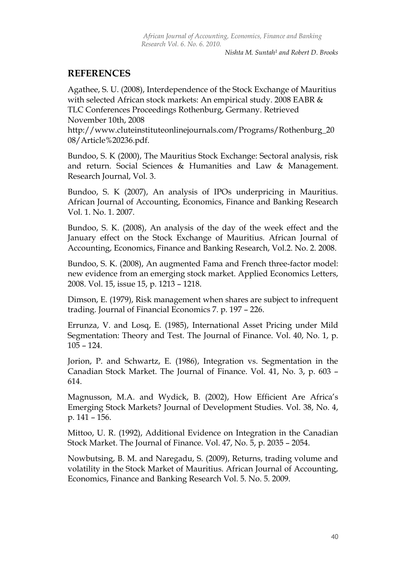*Nishta M. Suntah<sup>1</sup> and Robert D. Brooks*

#### **REFERENCES**

Agathee, S. U. (2008), Interdependence of the Stock Exchange of Mauritius with selected African stock markets: An empirical study. 2008 EABR & TLC Conferences Proceedings Rothenburg, Germany. Retrieved November 10th, 2008

[http://www.cluteinstituteonlinejournals.com/Programs/Rothenburg\\_20](http://www.cluteinstituteonlinejournals.com/Programs/Rothenburg_2008/Article%20236.pdf) [08/Article%20236.pdf.](http://www.cluteinstituteonlinejournals.com/Programs/Rothenburg_2008/Article%20236.pdf)

Bundoo, S. K (2000), The Mauritius Stock Exchange: Sectoral analysis, risk and return. Social Sciences & Humanities and Law & Management. Research Journal, Vol. 3.

Bundoo, S. K (2007), An analysis of IPOs underpricing in Mauritius. African Journal of Accounting, Economics, Finance and Banking Research Vol. 1. No. 1. 2007.

Bundoo, S. K. (2008), An analysis of the day of the week effect and the January effect on the Stock Exchange of Mauritius. African Journal of Accounting, Economics, Finance and Banking Research, Vol.2. No. 2. 2008.

Bundoo, S. K. (2008), An augmented Fama and French three-factor model: new evidence from an emerging stock market. Applied Economics Letters, 2008. Vol. 15, issue 15, p. 1213 – 1218.

Dimson, E. (1979), Risk management when shares are subject to infrequent trading. Journal of Financial Economics 7. p. 197 – 226.

Errunza, V. and Losq, E. (1985), International Asset Pricing under Mild Segmentation: Theory and Test. The Journal of Finance. Vol. 40, No. 1, p. 105 – 124.

Jorion, P. and Schwartz, E. (1986), Integration vs. Segmentation in the Canadian Stock Market. The Journal of Finance. Vol. 41, No. 3, p. 603 – 614.

Magnusson, M.A. and Wydick, B. (2002), How Efficient Are Africa"s Emerging Stock Markets? Journal of Development Studies. Vol. 38, No. 4, p. 141 – 156.

Mittoo, U. R. (1992), Additional Evidence on Integration in the Canadian Stock Market. The Journal of Finance. Vol. 47, No. 5, p. 2035 – 2054.

Nowbutsing, B. M. and Naregadu, S. (2009), Returns, trading volume and volatility in the Stock Market of Mauritius. African Journal of Accounting, Economics, Finance and Banking Research Vol. 5. No. 5. 2009.